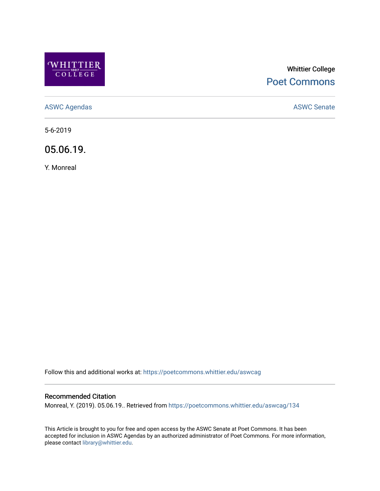

# Whittier College [Poet Commons](https://poetcommons.whittier.edu/)

[ASWC Agendas](https://poetcommons.whittier.edu/aswcag) **ASWC Senate** 

5-6-2019

05.06.19.

Y. Monreal

Follow this and additional works at: [https://poetcommons.whittier.edu/aswcag](https://poetcommons.whittier.edu/aswcag?utm_source=poetcommons.whittier.edu%2Faswcag%2F134&utm_medium=PDF&utm_campaign=PDFCoverPages) 

## Recommended Citation

Monreal, Y. (2019). 05.06.19.. Retrieved from [https://poetcommons.whittier.edu/aswcag/134](https://poetcommons.whittier.edu/aswcag/134?utm_source=poetcommons.whittier.edu%2Faswcag%2F134&utm_medium=PDF&utm_campaign=PDFCoverPages) 

This Article is brought to you for free and open access by the ASWC Senate at Poet Commons. It has been accepted for inclusion in ASWC Agendas by an authorized administrator of Poet Commons. For more information, please contact [library@whittier.edu](mailto:library@whittier.edu).